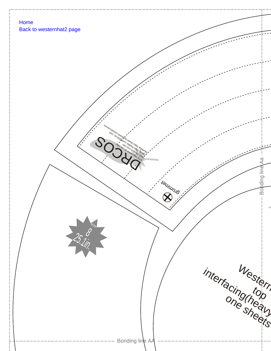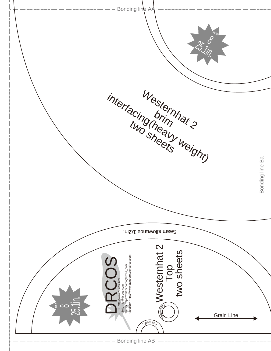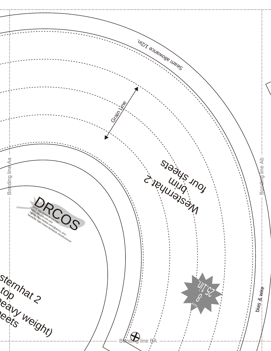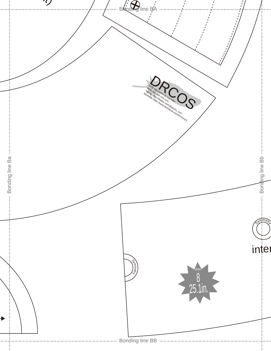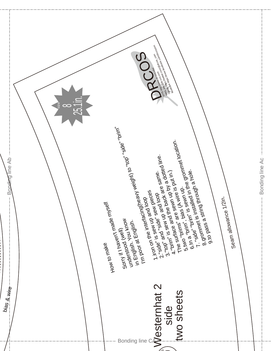